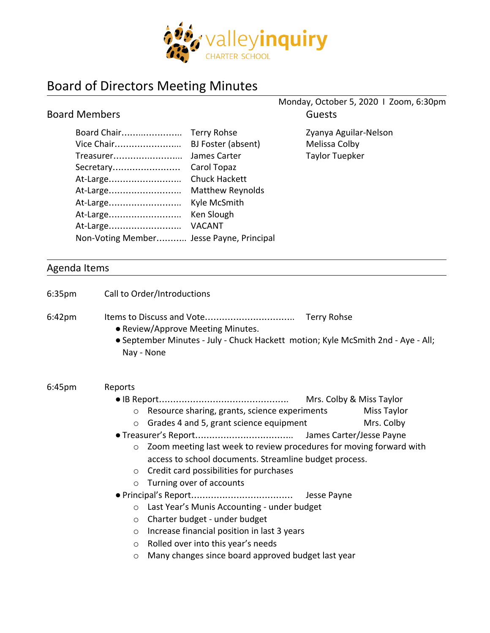

## Board of Directors Meeting Minutes

|                                                                                          |                                                                                          | Monday, October 5, 2020   Zoom, 6:30pm                          |
|------------------------------------------------------------------------------------------|------------------------------------------------------------------------------------------|-----------------------------------------------------------------|
| <b>Board Members</b>                                                                     |                                                                                          | <b>Guests</b>                                                   |
| Board Chair<br>Vice Chair<br>Treasurer<br>Secretary<br>At-Large                          | Terry Rohse<br>BJ Foster (absent)<br>James Carter<br>Carol Topaz<br><b>Chuck Hackett</b> | Zyanya Aguilar-Nelson<br>Melissa Colby<br><b>Taylor Tuepker</b> |
| At-Large<br>At-Large<br>At-Large<br>At-Large<br>Non-Voting Member Jesse Payne, Principal | <b>Matthew Reynolds</b><br>Kyle McSmith<br>Ken Slough<br><b>VACANT</b>                   |                                                                 |

## Agenda Items

| 6:35 <sub>pm</sub> | Call to Order/Introductions                                                                                                         |
|--------------------|-------------------------------------------------------------------------------------------------------------------------------------|
| $6:42 \text{pm}$   | • Review/Approve Meeting Minutes.<br>• September Minutes - July - Chuck Hackett motion; Kyle McSmith 2nd - Aye - All;<br>Nay - None |
| 6:45 <sub>pm</sub> | Reports                                                                                                                             |
|                    | Mrs. Colby & Miss Taylor                                                                                                            |
|                    | Resource sharing, grants, science experiments<br><b>Miss Taylor</b><br>$\circ$                                                      |
|                    | Grades 4 and 5, grant science equipment<br>Mrs. Colby<br>$\circ$                                                                    |
|                    |                                                                                                                                     |
|                    | Zoom meeting last week to review procedures for moving forward with<br>$\circ$                                                      |
|                    | access to school documents. Streamline budget process.                                                                              |
|                    | Credit card possibilities for purchases<br>$\circ$                                                                                  |
|                    | Turning over of accounts<br>$\circ$                                                                                                 |
|                    |                                                                                                                                     |
|                    | Last Year's Munis Accounting - under budget<br>$\circ$                                                                              |
|                    | Charter budget - under budget<br>$\circ$                                                                                            |
|                    | Increase financial position in last 3 years<br>$\circ$                                                                              |
|                    | Rolled over into this year's needs<br>$\circ$                                                                                       |
|                    | Many changes since board approved budget last year<br>O                                                                             |